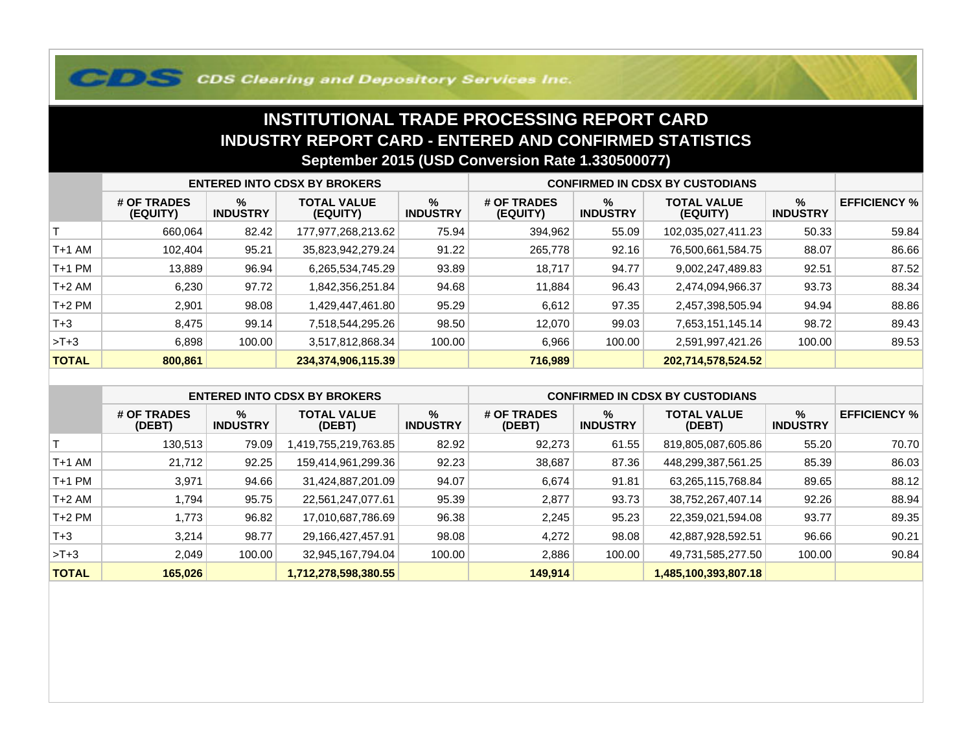## **COS Clearing and Depository Services Inc.**

## **INSTITUTIONAL TRADE PROCESSING REPORT CARD INDUSTRY REPORT CARD - ENTERED AND CONFIRMED STATISTICSSeptember 2015 (USD Conversion Rate 1.330500077)**

|              | <b>ENTERED INTO CDSX BY BROKERS</b> |                         |                                |                      | <b>CONFIRMED IN CDSX BY CUSTODIANS</b> |                         |                                |                      |                     |
|--------------|-------------------------------------|-------------------------|--------------------------------|----------------------|----------------------------------------|-------------------------|--------------------------------|----------------------|---------------------|
|              | # OF TRADES<br>(EQUITY)             | $\%$<br><b>INDUSTRY</b> | <b>TOTAL VALUE</b><br>(EQUITY) | %<br><b>INDUSTRY</b> | # OF TRADES<br>(EQUITY)                | $\%$<br><b>INDUSTRY</b> | <b>TOTAL VALUE</b><br>(EQUITY) | %<br><b>INDUSTRY</b> | <b>EFFICIENCY %</b> |
|              | 660,064                             | 82.42                   | 177,977,268,213.62             | 75.94                | 394,962                                | 55.09                   | 102,035,027,411.23             | 50.33                | 59.84               |
| T+1 AM       | 102.404                             | 95.21                   | 35,823,942,279.24              | 91.22                | 265,778                                | 92.16                   | 76,500,661,584.75              | 88.07                | 86.66               |
| T+1 PM       | 13,889                              | 96.94                   | 6,265,534,745.29               | 93.89                | 18,717                                 | 94.77                   | 9,002,247,489.83               | 92.51                | 87.52               |
| T+2 AM       | 6,230                               | 97.72                   | 1,842,356,251.84               | 94.68                | 11,884                                 | 96.43                   | 2,474,094,966.37               | 93.73                | 88.34               |
| $T+2$ PM     | 2,901                               | 98.08                   | 1,429,447,461.80               | 95.29                | 6,612                                  | 97.35                   | 2,457,398,505.94               | 94.94                | 88.86               |
| $T + 3$      | 8,475                               | 99.14                   | 7,518,544,295.26               | 98.50                | 12.070                                 | 99.03                   | 7,653,151,145.14               | 98.72                | 89.43               |
| $>T+3$       | 6,898                               | 100.00                  | 3,517,812,868.34               | 100.00               | 6,966                                  | 100.00                  | 2,591,997,421.26               | 100.00               | 89.53               |
| <b>TOTAL</b> | 800,861                             |                         | 234,374,906,115.39             |                      | 716,989                                |                         | 202,714,578,524.52             |                      |                     |

|              | <b>ENTERED INTO CDSX BY BROKERS</b> |                         |                              |                         | <b>CONFIRMED IN CDSX BY CUSTODIANS</b> |                         |                              |                         |                     |
|--------------|-------------------------------------|-------------------------|------------------------------|-------------------------|----------------------------------------|-------------------------|------------------------------|-------------------------|---------------------|
|              | # OF TRADES<br>(DEBT)               | $\%$<br><b>INDUSTRY</b> | <b>TOTAL VALUE</b><br>(DEBT) | $\%$<br><b>INDUSTRY</b> | # OF TRADES<br>(DEBT)                  | $\%$<br><b>INDUSTRY</b> | <b>TOTAL VALUE</b><br>(DEBT) | $\%$<br><b>INDUSTRY</b> | <b>EFFICIENCY %</b> |
|              | 130.513                             | 79.09                   | 419,755,219,763.85,          | 82.92                   | 92,273                                 | 61.55                   | 819,805,087,605.86           | 55.20                   | 70.70               |
| $T+1$ AM     | 21.712                              | 92.25                   | 159,414,961,299.36           | 92.23                   | 38,687                                 | 87.36                   | 448,299,387,561.25           | 85.39                   | 86.03               |
| $T+1$ PM     | 3,971                               | 94.66                   | 31,424,887,201.09            | 94.07                   | 6,674                                  | 91.81                   | 63,265,115,768.84            | 89.65                   | 88.12               |
| $T+2$ AM     | .794                                | 95.75                   | 22,561,247,077.61            | 95.39                   | 2,877                                  | 93.73                   | 38,752,267,407.14            | 92.26                   | 88.94               |
| $T+2$ PM     | l.773                               | 96.82                   | 17,010,687,786.69            | 96.38                   | 2,245                                  | 95.23                   | 22,359,021,594.08            | 93.77                   | 89.35               |
| $T+3$        | 3.214                               | 98.77                   | 29,166,427,457.91            | 98.08                   | 4.272                                  | 98.08                   | 42,887,928,592.51            | 96.66                   | 90.21               |
| $>T+3$       | 2.049                               | 100.00                  | 32,945,167,794.04            | 100.00                  | 2,886                                  | 100.00                  | 49,731,585,277.50            | 100.00                  | 90.84               |
| <b>TOTAL</b> | 165,026                             |                         | 1,712,278,598,380.55         |                         | 149,914                                |                         | 1,485,100,393,807.18         |                         |                     |